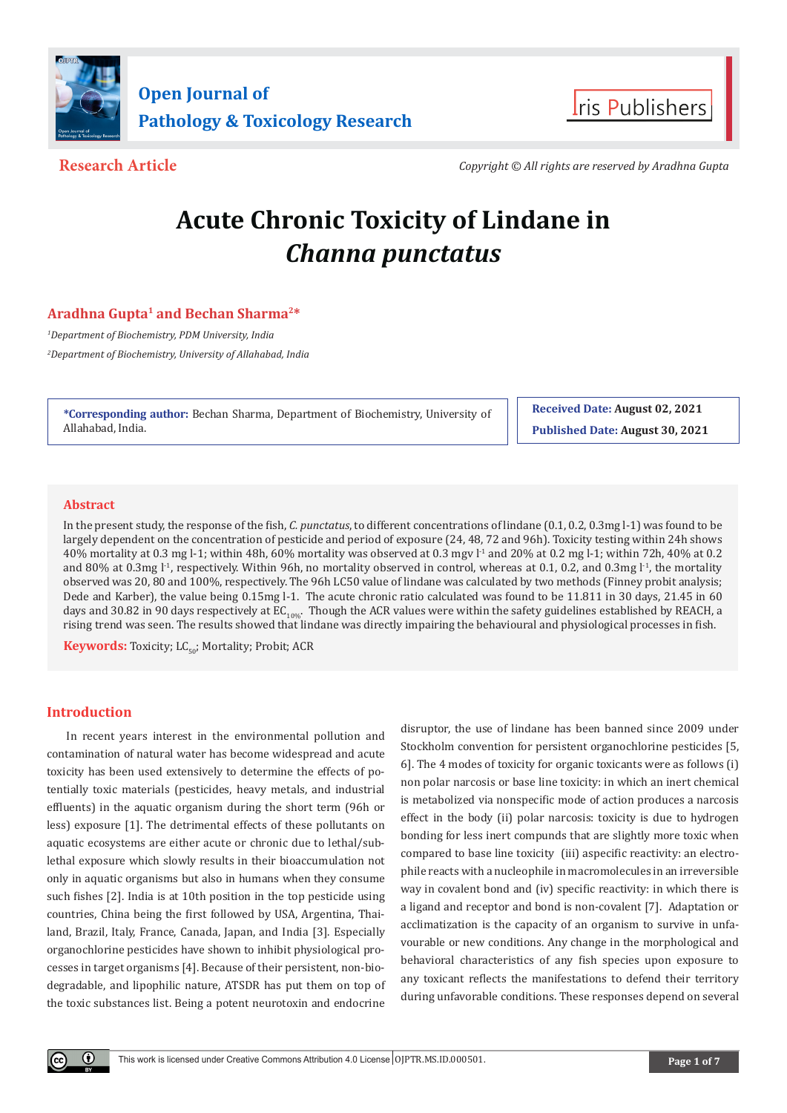



**Research Article** *Copyright © All rights are reserved by Aradhna Gupta*

# **Acute Chronic Toxicity of Lindane in**  *Channa punctatus*

# **Aradhna Gupta1 and Bechan Sharma2\***

*1 Department of Biochemistry, PDM University, India 2 Department of Biochemistry, University of Allahabad, India*

**\*Corresponding author:** Bechan Sharma, Department of Biochemistry, University of Allahabad, India.

**Received Date: August 02, 2021 Published Date: August 30, 2021**

### **Abstract**

In the present study, the response of the fish, *C. punctatus*, to different concentrations of lindane (0.1, 0.2, 0.3mg l-1) was found to be largely dependent on the concentration of pesticide and period of exposure (24, 48, 72 and 96h). Toxicity testing within 24h shows 40% mortality at 0.3 mg l-1; within 48h, 60% mortality was observed at 0.3 mgv l<sup>-1</sup> and 20% at 0.2 mg l-1; within 72h, 40% at 0.2 and 80% at 0.3mg  $l<sup>-1</sup>$ , respectively. Within 96h, no mortality observed in control, whereas at 0.1, 0.2, and 0.3mg  $l<sup>-1</sup>$ , the mortality observed was 20, 80 and 100%, respectively. The 96h LC50 value of lindane was calculated by two methods (Finney probit analysis; Dede and Karber), the value being 0.15mg l-1. The acute chronic ratio calculated was found to be 11.811 in 30 days, 21.45 in 60 days and 30.82 in 90 days respectively at  $EC_{10\%}$ . Though the ACR values were within the safety guidelines established by REACH, a rising trend was seen. The results showed that lindane was directly impairing the behavioural and physiological processes in fish.

**Keywords:** Toxicity; LC<sub>50</sub>; Mortality; Probit; ACR

# **Introduction**

In recent years interest in the environmental pollution and contamination of natural water has become widespread and acute toxicity has been used extensively to determine the effects of potentially toxic materials (pesticides, heavy metals, and industrial effluents) in the aquatic organism during the short term (96h or less) exposure [1]. The detrimental effects of these pollutants on aquatic ecosystems are either acute or chronic due to lethal/sublethal exposure which slowly results in their bioaccumulation not only in aquatic organisms but also in humans when they consume such fishes [2]. India is at 10th position in the top pesticide using countries, China being the first followed by USA, Argentina, Thailand, Brazil, Italy, France, Canada, Japan, and India [3]. Especially organochlorine pesticides have shown to inhibit physiological processes in target organisms [4]. Because of their persistent, non-biodegradable, and lipophilic nature, ATSDR has put them on top of the toxic substances list. Being a potent neurotoxin and endocrine

disruptor, the use of lindane has been banned since 2009 under Stockholm convention for persistent organochlorine pesticides [5, 6]. The 4 modes of toxicity for organic toxicants were as follows (i) non polar narcosis or base line toxicity: in which an inert chemical is metabolized via nonspecific mode of action produces a narcosis effect in the body (ii) polar narcosis: toxicity is due to hydrogen bonding for less inert compunds that are slightly more toxic when compared to base line toxicity (iii) aspecific reactivity: an electrophile reacts with a nucleophile in macromolecules in an irreversible way in covalent bond and (iv) specific reactivity: in which there is a ligand and receptor and bond is non-covalent [7]. Adaptation or acclimatization is the capacity of an organism to survive in unfavourable or new conditions. Any change in the morphological and behavioral characteristics of any fish species upon exposure to any toxicant reflects the manifestations to defend their territory during unfavorable conditions. These responses depend on several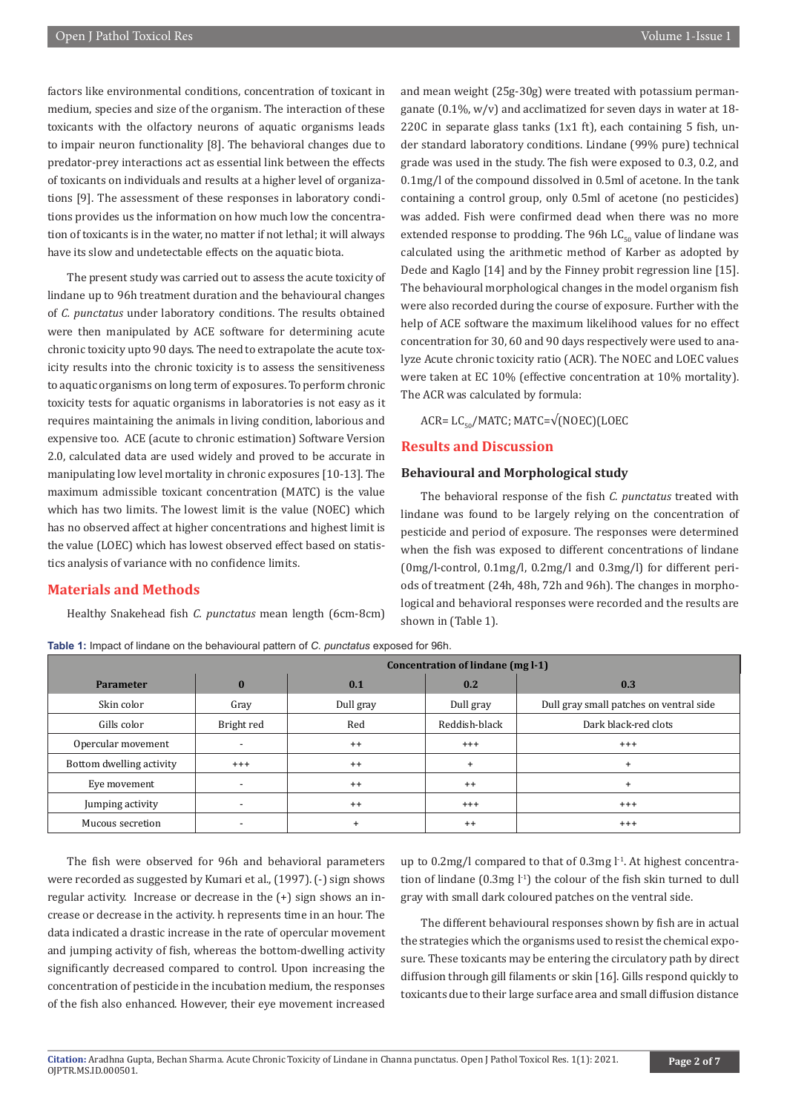factors like environmental conditions, concentration of toxicant in medium, species and size of the organism. The interaction of these toxicants with the olfactory neurons of aquatic organisms leads to impair neuron functionality [8]. The behavioral changes due to predator-prey interactions act as essential link between the effects of toxicants on individuals and results at a higher level of organizations [9]. The assessment of these responses in laboratory conditions provides us the information on how much low the concentration of toxicants is in the water, no matter if not lethal; it will always have its slow and undetectable effects on the aquatic biota.

The present study was carried out to assess the acute toxicity of lindane up to 96h treatment duration and the behavioural changes of *C. punctatus* under laboratory conditions. The results obtained were then manipulated by ACE software for determining acute chronic toxicity upto 90 days. The need to extrapolate the acute toxicity results into the chronic toxicity is to assess the sensitiveness to aquatic organisms on long term of exposures. To perform chronic toxicity tests for aquatic organisms in laboratories is not easy as it requires maintaining the animals in living condition, laborious and expensive too. ACE (acute to chronic estimation) Software Version 2.0, calculated data are used widely and proved to be accurate in manipulating low level mortality in chronic exposures [10-13]. The maximum admissible toxicant concentration (MATC) is the value which has two limits. The lowest limit is the value (NOEC) which has no observed affect at higher concentrations and highest limit is the value (LOEC) which has lowest observed effect based on statistics analysis of variance with no confidence limits.

#### **Materials and Methods**

Healthy Snakehead fish *C. punctatus* mean length (6cm-8cm)

**Table 1:** Impact of lindane on the behavioural pattern of *C. punctatus* exposed for 96h.

and mean weight (25g-30g) were treated with potassium permanganate  $(0.1\%$ , w/v) and acclimatized for seven days in water at 18-220C in separate glass tanks  $(1x1 \text{ ft})$ , each containing 5 fish, under standard laboratory conditions. Lindane (99% pure) technical grade was used in the study. The fish were exposed to 0.3, 0.2, and 0.1mg/l of the compound dissolved in 0.5ml of acetone. In the tank containing a control group, only 0.5ml of acetone (no pesticides) was added. Fish were confirmed dead when there was no more extended response to prodding. The 96h  $LC_{50}$  value of lindane was calculated using the arithmetic method of Karber as adopted by Dede and Kaglo [14] and by the Finney probit regression line [15]. The behavioural morphological changes in the model organism fish were also recorded during the course of exposure. Further with the help of ACE software the maximum likelihood values for no effect concentration for 30, 60 and 90 days respectively were used to analyze Acute chronic toxicity ratio (ACR). The NOEC and LOEC values were taken at EC 10% (effective concentration at 10% mortality). The ACR was calculated by formula:

 $ACR = LC_{co}/MATC$ ;  $MATC = \sqrt{(NOEC)(LOEC)}$ 

#### **Results and Discussion**

#### **Behavioural and Morphological study**

The behavioral response of the fish *C. punctatus* treated with lindane was found to be largely relying on the concentration of pesticide and period of exposure. The responses were determined when the fish was exposed to different concentrations of lindane (0mg/l-control, 0.1mg/l, 0.2mg/l and 0.3mg/l) for different periods of treatment (24h, 48h, 72h and 96h). The changes in morphological and behavioral responses were recorded and the results are shown in (Table 1).

|                          | Concentration of lindane (mg l-1) |           |               |                                         |  |
|--------------------------|-----------------------------------|-----------|---------------|-----------------------------------------|--|
| <b>Parameter</b>         | $\bf{0}$                          | 0.1       | 0.2           | 0.3                                     |  |
| Skin color               | Gray                              | Dull gray | Dull gray     | Dull gray small patches on ventral side |  |
| Gills color              | Bright red                        | Red       | Reddish-black | Dark black-red clots                    |  |
| Opercular movement       |                                   | $^{++}$   | $^{+++}$      | $^{+++}$                                |  |
| Bottom dwelling activity | $^{+++}$                          | $^{++}$   | $+$           | $\ddot{}$                               |  |
| Eve movement             | $\overline{\phantom{a}}$          | $^{++}$   | $^{++}$       | $\ddot{}$                               |  |
| Jumping activity         |                                   | $^{++}$   | $^{+++}$      | $^{+++}$                                |  |
| Mucous secretion         |                                   | $+$       | $^{++}$       | $^{+++}$                                |  |

The fish were observed for 96h and behavioral parameters were recorded as suggested by Kumari et al., (1997). (-) sign shows regular activity. Increase or decrease in the (+) sign shows an increase or decrease in the activity. h represents time in an hour. The data indicated a drastic increase in the rate of opercular movement and jumping activity of fish, whereas the bottom-dwelling activity significantly decreased compared to control. Upon increasing the concentration of pesticide in the incubation medium, the responses of the fish also enhanced. However, their eye movement increased

up to  $0.2$ mg/l compared to that of  $0.3$ mg  $l<sup>-1</sup>$ . At highest concentration of lindane  $(0.3 \text{mg} \cdot 1)$  the colour of the fish skin turned to dull gray with small dark coloured patches on the ventral side.

The different behavioural responses shown by fish are in actual the strategies which the organisms used to resist the chemical exposure. These toxicants may be entering the circulatory path by direct diffusion through gill filaments or skin [16]. Gills respond quickly to toxicants due to their large surface area and small diffusion distance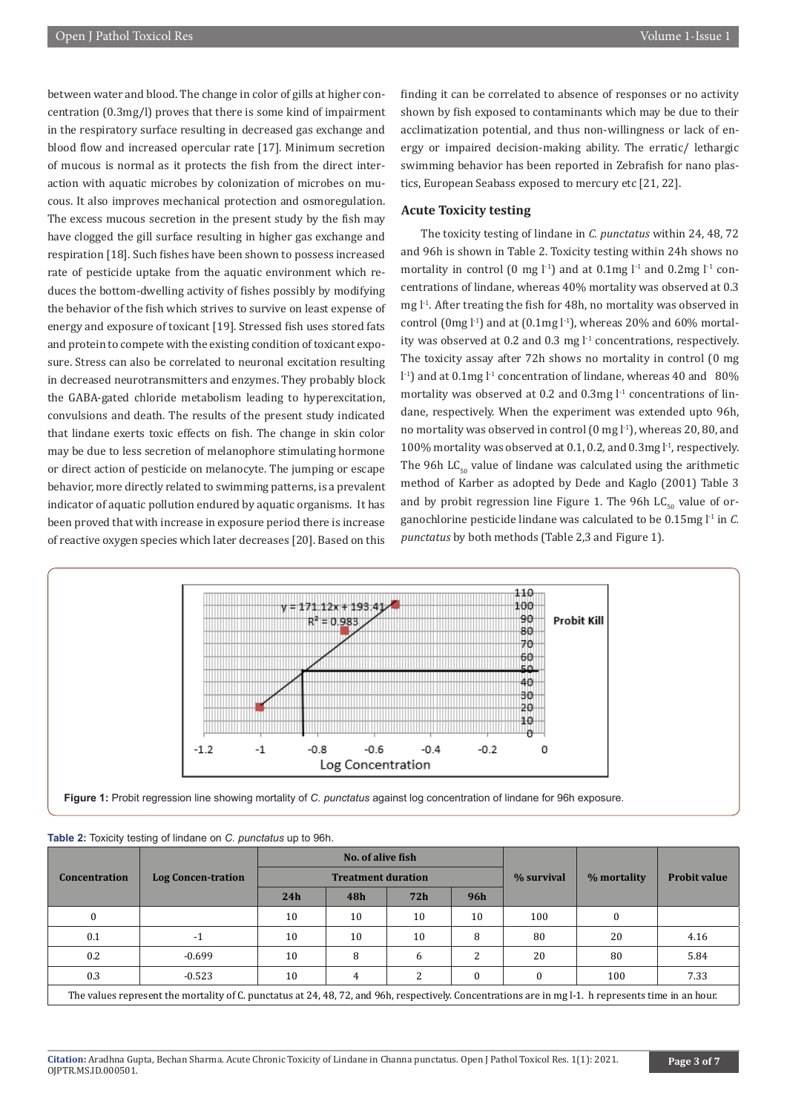between water and blood. The change in color of gills at higher concentration (0.3mg/l) proves that there is some kind of impairment in the respiratory surface resulting in decreased gas exchange and blood flow and increased opercular rate [17]. Minimum secretion of mucous is normal as it protects the fish from the direct interaction with aquatic microbes by colonization of microbes on mucous. It also improves mechanical protection and osmoregulation. The excess mucous secretion in the present study by the fish may have clogged the gill surface resulting in higher gas exchange and respiration [18]. Such fishes have been shown to possess increased rate of pesticide uptake from the aquatic environment which reduces the bottom-dwelling activity of fishes possibly by modifying the behavior of the fish which strives to survive on least expense of energy and exposure of toxicant [19]. Stressed fish uses stored fats and protein to compete with the existing condition of toxicant exposure. Stress can also be correlated to neuronal excitation resulting in decreased neurotransmitters and enzymes. They probably block the GABA-gated chloride metabolism leading to hyperexcitation, convulsions and death. The results of the present study indicated that lindane exerts toxic effects on fish. The change in skin color may be due to less secretion of melanophore stimulating hormone or direct action of pesticide on melanocyte. The jumping or escape behavior, more directly related to swimming patterns, is a prevalent indicator of aquatic pollution endured by aquatic organisms. It has been proved that with increase in exposure period there is increase of reactive oxygen species which later decreases [20]. Based on this

finding it can be correlated to absence of responses or no activity shown by fish exposed to contaminants which may be due to their acclimatization potential, and thus non-willingness or lack of energy or impaired decision-making ability. The erratic/ lethargic swimming behavior has been reported in Zebrafish for nano plastics, European Seabass exposed to mercury etc [21, 22].

#### **Acute Toxicity testing**

The toxicity testing of lindane in *C. punctatus* within 24, 48, 72 and 96h is shown in Table 2. Toxicity testing within 24h shows no mortality in control (0 mg  $\lfloor$ -1) and at 0.1mg  $\lfloor$ -1 and 0.2mg  $\lfloor$ -1 concentrations of lindane, whereas 40% mortality was observed at 0.3 mg l<sup>-1</sup>. After treating the fish for 48h, no mortality was observed in control (0mg  $l^{-1}$ ) and at (0.1mg  $l^{-1}$ ), whereas 20% and 60% mortality was observed at 0.2 and 0.3 mg  $l<sup>-1</sup>$  concentrations, respectively. The toxicity assay after 72h shows no mortality in control (0 mg  $1<sup>1</sup>$ ) and at 0.1mg  $1<sup>1</sup>$  concentration of lindane, whereas 40 and 80% mortality was observed at 0.2 and 0.3mg  $l<sup>-1</sup>$  concentrations of lindane, respectively. When the experiment was extended upto 96h, no mortality was observed in control  $(0 \text{ mg } l^1)$ , whereas 20, 80, and 100% mortality was observed at 0.1, 0.2, and 0.3mg l<sup>-1</sup>, respectively. The 96h  $LC_{\epsilon_0}$  value of lindane was calculated using the arithmetic method of Karber as adopted by Dede and Kaglo (2001) Table 3 and by probit regression line Figure 1. The 96h  $LC_{50}$  value of organochlorine pesticide lindane was calculated to be 0.15mg l-1 in *C. punctatus* by both methods (Table 2,3 and Figure 1).



**Figure 1:** Probit regression line showing mortality of *C. punctatus* against log concentration of lindane for 96h exposure.

|                                                                                                                                                      |                           | No. of alive fish<br><b>Treatment duration</b> |                |     |          | % survival | % mortality | <b>Probit value</b> |
|------------------------------------------------------------------------------------------------------------------------------------------------------|---------------------------|------------------------------------------------|----------------|-----|----------|------------|-------------|---------------------|
| <b>Concentration</b>                                                                                                                                 | <b>Log Concen-tration</b> |                                                |                |     |          |            |             |                     |
|                                                                                                                                                      |                           | 24h                                            | 48h            | 72h | 96h      |            |             |                     |
|                                                                                                                                                      |                           | 10                                             | 10             | 10  | 10       | 100        | 0           |                     |
| 0.1                                                                                                                                                  | $-1$                      | 10                                             | 10             | 10  | 8        | 80         | 20          | 4.16                |
| 0.2                                                                                                                                                  | $-0.699$                  | 10                                             | 8              | 6   | 2        | 20         | 80          | 5.84                |
| 0.3                                                                                                                                                  | $-0.523$                  | 10                                             | $\overline{4}$ | 2   | $\Omega$ |            | 100         | 7.33                |
| The values represent the mortality of C. punctatus at 24, 48, 72, and 96h, respectively. Concentrations are in mg l-1. h represents time in an hour. |                           |                                                |                |     |          |            |             |                     |

**Table 2:** Toxicity testing of lindane on *C. punctatus* up to 96h.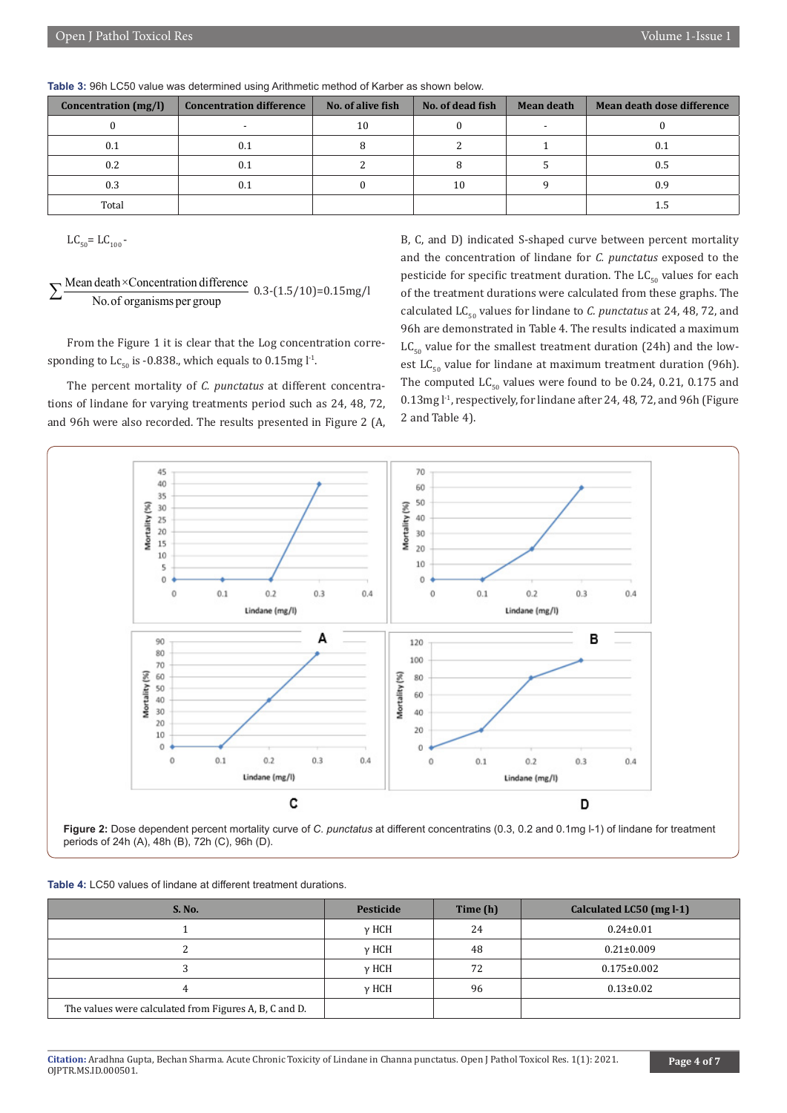| <b>Concentration</b> (mg/l) | <b>Concentration difference</b> | No. of alive fish | No. of dead fish | <b>Mean death</b> | Mean death dose difference |
|-----------------------------|---------------------------------|-------------------|------------------|-------------------|----------------------------|
|                             |                                 | 10                |                  |                   |                            |
| 0.1                         |                                 |                   |                  |                   | 0.1                        |
| 0.2                         | 0.1                             |                   |                  |                   | 0.5                        |
| 0.3                         |                                 |                   | 10               |                   | 0.9                        |
| Total                       |                                 |                   |                  |                   |                            |

 $LC_{50} = LC_{100}$  -

 $\sum \frac{\text{Mean death} \times \text{Concentration difference}}{\text{No. of organisms per group}}$  0.3-(1.5/10)=0.15mg/l

From the Figure 1 it is clear that the Log concentration corresponding to  $Lc_{50}$  is -0.838., which equals to 0.15mg l<sup>-1</sup>.

The percent mortality of *C. punctatus* at different concentrations of lindane for varying treatments period such as 24, 48, 72, and 96h were also recorded. The results presented in Figure 2 (A,

B, C, and D) indicated S-shaped curve between percent mortality and the concentration of lindane for *C. punctatus* exposed to the pesticide for specific treatment duration. The  $LC_{50}$  values for each of the treatment durations were calculated from these graphs. The calculated  $LC_{50}$  values for lindane to *C. punctatus* at 24, 48, 72, and 96h are demonstrated in Table 4. The results indicated a maximum  $LC_{50}$  value for the smallest treatment duration (24h) and the lowest LC<sub>50</sub> value for lindane at maximum treatment duration (96h). The computed  $LC_{50}$  values were found to be 0.24, 0.21, 0.175 and 0.13mg l<sup>-1</sup>, respectively, for lindane after 24, 48, 72, and 96h (Figure 2 and Table 4).



**Figure 2:** Dose dependent percent mortality curve of *C. punctatus* at different concentratins (0.3, 0.2 and 0.1mg l-1) of lindane for treatment periods of 24h (A), 48h (B), 72h (C), 96h (D).

| <b>Table 4: LC50 values of lindane at different treatment durations.</b> |  |  |  |
|--------------------------------------------------------------------------|--|--|--|
|                                                                          |  |  |  |

| <b>S. No.</b>                                          | Pesticide | Time (h) | Calculated LC50 (mg l-1) |
|--------------------------------------------------------|-----------|----------|--------------------------|
|                                                        | у НСН     | 24       | $0.24 \pm 0.01$          |
|                                                        | у НСН     | 48       | $0.21 \pm 0.009$         |
|                                                        | у НСН     | 72       | $0.175 \pm 0.002$        |
|                                                        | у НСН     | 96       | $0.13 \pm 0.02$          |
| The values were calculated from Figures A, B, C and D. |           |          |                          |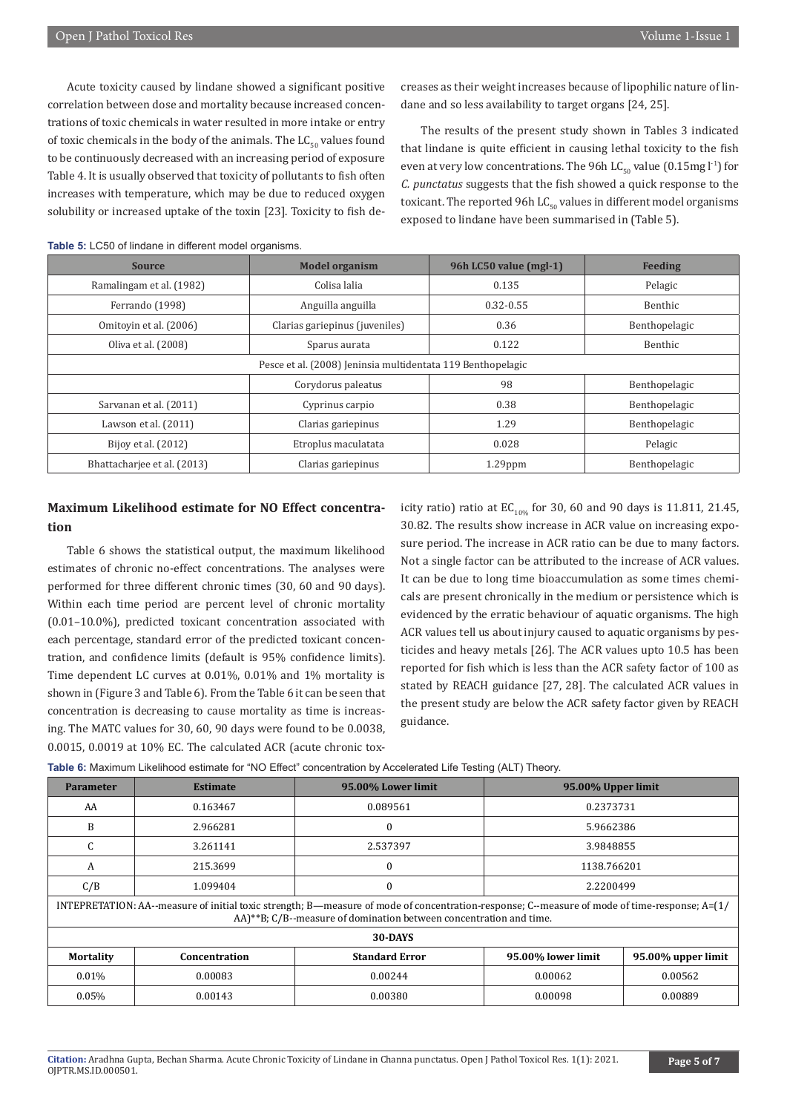Acute toxicity caused by lindane showed a significant positive correlation between dose and mortality because increased concentrations of toxic chemicals in water resulted in more intake or entry of toxic chemicals in the body of the animals. The  $LC_{50}$  values found to be continuously decreased with an increasing period of exposure Table 4. It is usually observed that toxicity of pollutants to fish often increases with temperature, which may be due to reduced oxygen solubility or increased uptake of the toxin [23]. Toxicity to fish decreases as their weight increases because of lipophilic nature of lindane and so less availability to target organs [24, 25].

The results of the present study shown in Tables 3 indicated that lindane is quite efficient in causing lethal toxicity to the fish even at very low concentrations. The 96h LC<sub>50</sub> value (0.15mg l<sup>-1</sup>) for *C. punctatus* suggests that the fish showed a quick response to the toxicant. The reported 96h LC $_{50}$  values in different model organisms exposed to lindane have been summarised in (Table 5).

| <b>Source</b>                                               | <b>Model organism</b>          | 96h LC50 value (mgl-1) | <b>Feeding</b> |  |
|-------------------------------------------------------------|--------------------------------|------------------------|----------------|--|
| Ramalingam et al. (1982)                                    | Colisa lalia                   | 0.135                  | Pelagic        |  |
| Ferrando (1998)                                             | Anguilla anguilla              | $0.32 - 0.55$          | Benthic        |  |
| Omitovin et al. (2006)                                      | Clarias gariepinus (juveniles) | 0.36                   | Benthopelagic  |  |
| Oliva et al. (2008)                                         | Sparus aurata                  | 0.122                  | Benthic        |  |
| Pesce et al. (2008) Jeninsia multidentata 119 Benthopelagic |                                |                        |                |  |
|                                                             | Corydorus paleatus             | 98                     | Benthopelagic  |  |
| Sarvanan et al. (2011)                                      | Cyprinus carpio                | 0.38                   | Benthopelagic  |  |
| Lawson et al. $(2011)$                                      | Clarias gariepinus             | 1.29                   | Benthopelagic  |  |
| Bijoy et al. (2012)                                         | Etroplus maculatata            | 0.028                  | Pelagic        |  |
| Bhattachariee et al. (2013)                                 | Clarias gariepinus             | $1.29$ ppm             | Benthopelagic  |  |

#### **Table 5:** LC50 of lindane in different model organisms.

# **Maximum Likelihood estimate for NO Effect concentration**

Table 6 shows the statistical output, the maximum likelihood estimates of chronic no-effect concentrations. The analyses were performed for three different chronic times (30, 60 and 90 days). Within each time period are percent level of chronic mortality (0.01–10.0%), predicted toxicant concentration associated with each percentage, standard error of the predicted toxicant concentration, and confidence limits (default is 95% confidence limits). Time dependent LC curves at 0.01%, 0.01% and 1% mortality is shown in (Figure 3 and Table 6). From the Table 6 it can be seen that concentration is decreasing to cause mortality as time is increasing. The MATC values for 30, 60, 90 days were found to be 0.0038, 0.0015, 0.0019 at 10% EC. The calculated ACR (acute chronic toxicity ratio) ratio at  $EC_{10\%}$  for 30, 60 and 90 days is 11.811, 21.45, 30.82. The results show increase in ACR value on increasing exposure period. The increase in ACR ratio can be due to many factors. Not a single factor can be attributed to the increase of ACR values. It can be due to long time bioaccumulation as some times chemicals are present chronically in the medium or persistence which is evidenced by the erratic behaviour of aquatic organisms. The high ACR values tell us about injury caused to aquatic organisms by pesticides and heavy metals [26]. The ACR values upto 10.5 has been reported for fish which is less than the ACR safety factor of 100 as stated by REACH guidance [27, 28]. The calculated ACR values in the present study are below the ACR safety factor given by REACH guidance.

| <b>Parameter</b> | <b>Estimate</b>                                                                                                                                                                                                         | 95.00% Lower limit    | 95.00% Upper limit |                    |  |
|------------------|-------------------------------------------------------------------------------------------------------------------------------------------------------------------------------------------------------------------------|-----------------------|--------------------|--------------------|--|
| AA               | 0.163467                                                                                                                                                                                                                | 0.089561              | 0.2373731          |                    |  |
| B                | 2.966281                                                                                                                                                                                                                | $\theta$              | 5.9662386          |                    |  |
| C                | 3.261141                                                                                                                                                                                                                | 2.537397              | 3.9848855          |                    |  |
| A                | 215.3699                                                                                                                                                                                                                | 0                     | 1138.766201        |                    |  |
| C/B              | 1.099404                                                                                                                                                                                                                |                       | 2.2200499          |                    |  |
|                  | INTEPRETATION: AA--measure of initial toxic strength; B—measure of mode of concentration-response; C--measure of mode of time-response; $A=(1/2)$<br>AA)**B; C/B--measure of domination between concentration and time. |                       |                    |                    |  |
| 30-DAYS          |                                                                                                                                                                                                                         |                       |                    |                    |  |
| <b>Mortality</b> | Concentration                                                                                                                                                                                                           | <b>Standard Error</b> | 95.00% lower limit | 95.00% upper limit |  |
| 0.01%            | 0.00083                                                                                                                                                                                                                 | 0.00244               | 0.00062<br>0.00562 |                    |  |
| 0.05%            | 0.00143                                                                                                                                                                                                                 | 0.00380               | 0.00098            | 0.00889            |  |

**Table 6:** Maximum Likelihood estimate for "NO Effect" concentration by Accelerated Life Testing (ALT) Theory.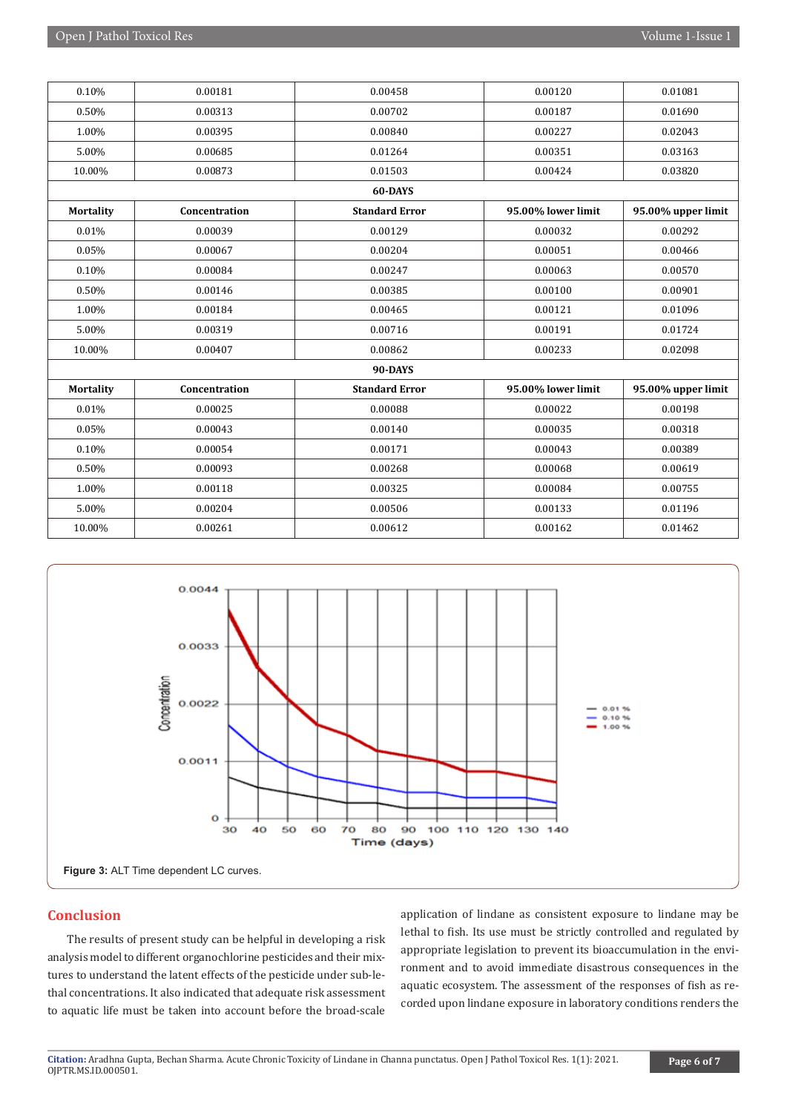| 0.10%            | 0.00181       | 0.00458               | 0.00120            | 0.01081            |
|------------------|---------------|-----------------------|--------------------|--------------------|
| 0.50%            | 0.00313       | 0.00702               | 0.00187            | 0.01690            |
| 1.00%            | 0.00395       | 0.00840               | 0.00227            | 0.02043            |
| 5.00%            | 0.00685       | 0.01264               | 0.00351            | 0.03163            |
| 10.00%           | 0.00873       | 0.01503               | 0.00424            | 0.03820            |
|                  |               | 60-DAYS               |                    |                    |
| <b>Mortality</b> | Concentration | <b>Standard Error</b> | 95.00% lower limit | 95.00% upper limit |
| 0.01%            | 0.00039       | 0.00129               | 0.00032            | 0.00292            |
| 0.05%            | 0.00067       | 0.00204               | 0.00051            | 0.00466            |
| 0.10%            | 0.00084       | 0.00247               | 0.00063            | 0.00570            |
| 0.50%            | 0.00146       | 0.00385               | 0.00100            | 0.00901            |
| 1.00%            | 0.00184       | 0.00465               | 0.00121            | 0.01096            |
| 5.00%            | 0.00319       | 0.00716               | 0.00191            | 0.01724            |
| 10.00%           | 0.00407       | 0.00862               | 0.00233            | 0.02098            |
|                  |               | 90-DAYS               |                    |                    |
| <b>Mortality</b> | Concentration | <b>Standard Error</b> | 95.00% lower limit | 95.00% upper limit |
| 0.01%            | 0.00025       | 0.00088               | 0.00022            | 0.00198            |
| 0.05%            | 0.00043       | 0.00140               | 0.00035            | 0.00318            |
| 0.10%            | 0.00054       | 0.00171               | 0.00043            | 0.00389            |
| 0.50%            | 0.00093       | 0.00268               | 0.00068            | 0.00619            |
| 1.00%            | 0.00118       | 0.00325               | 0.00084            | 0.00755            |
| 5.00%            | 0.00204       | 0.00506               | 0.00133            | 0.01196            |
| 10.00%           | 0.00261       | 0.00612               | 0.00162            | 0.01462            |



# **Conclusion**

The results of present study can be helpful in developing a risk analysis model to different organochlorine pesticides and their mixtures to understand the latent effects of the pesticide under sub-lethal concentrations. It also indicated that adequate risk assessment to aquatic life must be taken into account before the broad-scale

application of lindane as consistent exposure to lindane may be lethal to fish. Its use must be strictly controlled and regulated by appropriate legislation to prevent its bioaccumulation in the environment and to avoid immediate disastrous consequences in the aquatic ecosystem. The assessment of the responses of fish as recorded upon lindane exposure in laboratory conditions renders the